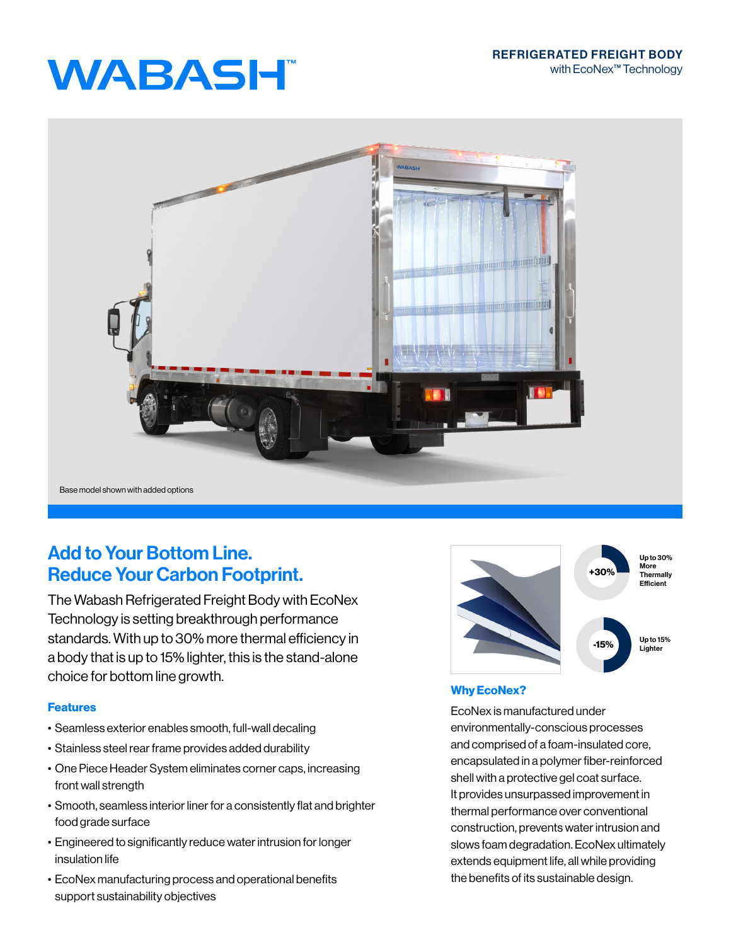# **WABASH**



## Add to Your Bottom Line. Reduce Your Carbon Footprint.

The Wabash Refrigerated Freight Body with EcoNex Technology is setting breakthrough performance standards. With up to 30% more thermal efficiency in a body that is up to 15% lighter, this is the stand-alone choice for bottom line growth.

### Features

- Seamless exterior enables smooth, full-wall decaling
- Stainless steel rear frame provides added durability
- One Piece Header System eliminates corner caps, increasing front wall strength
- Smooth, seamless interior liner for a consistently flat and brighter food grade surface
- Engineered to significantly reduce water intrusion for longer insulation life
- EcoNex manufacturing process and operational benefits support sustainability objectives



## Why EcoNex?

EcoNex is manufactured under environmentally-conscious processes and comprised of a foam-insulated core, encapsulated in a polymer fiber-reinforced shell with a protective gel coat surface. It provides unsurpassed improvement in thermal performance over conventional construction, prevents water intrusion and slows foam degradation. EcoNex ultimately extends equipment life, all while providing the benefits of its sustainable design.